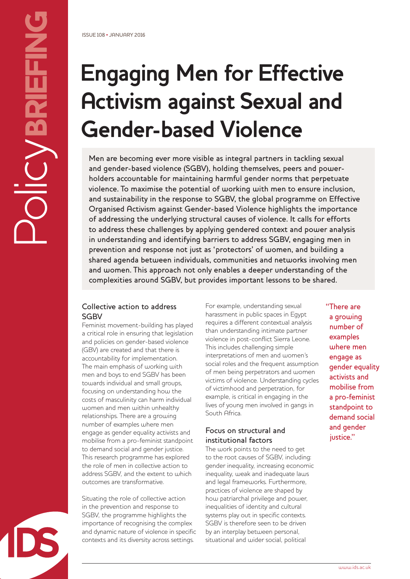# **Engaging Men for Effective Activism against Sexual and Gender-based Violence**

Men are becoming ever more visible as integral partners in tackling sexual and gender-based violence (SGBV), holding themselves, peers and powerholders accountable for maintaining harmful gender norms that perpetuate violence. To maximise the potential of working with men to ensure inclusion, and sustainability in the response to SGBV, the global programme on Effective Organised Activism against Gender-based Violence highlights the importance of addressing the underlying structural causes of violence. It calls for efforts to address these challenges by applying gendered context and power analysis in understanding and identifying barriers to address SGBV, engaging men in prevention and response not just as 'protectors' of women, and building a shared agenda between individuals, communities and networks involving men and women. This approach not only enables a deeper understanding of the complexities around SGBV, but provides important lessons to be shared.

## Collective action to address **SGBV**

Feminist movement-building has played a critical role in ensuring that legislation and policies on gender-based violence (GBV) are created and that there is accountability for implementation. The main emphasis of working with men and boys to end SGBV has been towards individual and small groups, focusing on understanding how the costs of masculinity can harm individual women and men within unhealthy relationships. There are a growing number of examples where men engage as gender equality activists and mobilise from a pro-feminist standpoint to demand social and gender justice. This research programme has explored the role of men in collective action to address SGBV, and the extent to which outcomes are transformative.

Situating the role of collective action in the prevention and response to SGBV, the programme highlights the importance of recognising the complex and dynamic nature of violence in specific contexts and its diversity across settings.

For example, understanding sexual harassment in public spaces in Egypt requires a different contextual analysis than understanding intimate partner violence in post-conflict Sierra Leone. This includes challenging simple interpretations of men and women's social roles and the frequent assumption of men being perpetrators and women victims of violence. Understanding cycles of victimhood and perpetration, for example, is critical in engaging in the lives of young men involved in gangs in South Africa.

## Focus on structural and institutional factors

The work points to the need to get to the root causes of SGBV, including: gender inequality, increasing economic inequality, weak and inadequate laws and legal frameworks. Furthermore, practices of violence are shaped by how patriarchal privilege and power, inequalities of identity and cultural systems play out in specific contexts. SGBV is therefore seen to be driven by an interplay between personal, situational and wider social, political

"There are a growing number of examples where men engage as gender equality activists and mobilise from a pro-feminist standpoint to demand social and gender justice."

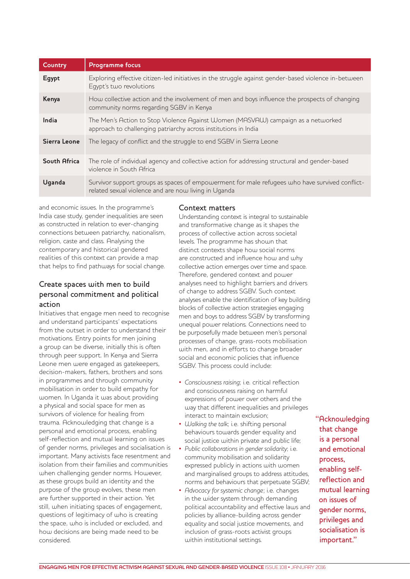| Country      | <b>Programme focus</b>                                                                                                                                 |
|--------------|--------------------------------------------------------------------------------------------------------------------------------------------------------|
| Egypt        | Exploring effective citizen-led initiatives in the struggle against gender-based violence in-between<br>Eqypt's two revolutions                        |
| Kenya        | How collective action and the involvement of men and boys influence the prospects of changing<br>community norms regarding SGBV in Kenya               |
| India        | The Men's Action to Stop Violence Against Women (MASVAW) campaign as a networked<br>approach to challenging patriarchy across institutions in India    |
| Sierra Leone | The legacy of conflict and the struggle to end SGBV in Sierra Leone                                                                                    |
| South Africa | The role of individual agency and collective action for addressing structural and gender-based<br>violence in South Africa                             |
| Uganda       | Survivor support groups as spaces of empowerment for male refugees who have survived conflict-<br>related sexual violence and are now living in Uganda |

and economic issues. In the programme's India case study, gender inequalities are seen as constructed in relation to ever-changing connections between patriarchy, nationalism, religion, caste and class. Analysing the contemporary and historical gendered realities of this context can provide a map that helps to find pathways for social change.

#### Create spaces with men to build personal commitment and political action

Initiatives that engage men need to recognise and understand participants' expectations from the outset in order to understand their motivations. Entry points for men joining a group can be diverse, initially this is often through peer support. In Kenya and Sierra Leone men were engaged as gatekeepers, decision-makers, fathers, brothers and sons in programmes and through community mobilisation in order to build empathy for women. In Uganda it was about providing a physical and social space for men as survivors of violence for healing from trauma. Acknowledging that change is a personal and emotional process, enabling self-reflection and mutual learning on issues of gender norms, privileges and socialisation is important. Many activists face resentment and isolation from their families and communities when challenging gender norms. However, as these groups build an identity and the purpose of the group evolves, these men are further supported in their action. Yet still, when initiating spaces of engagement, questions of legitimacy of who is creating the space, who is included or excluded, and how decisions are being made need to be considered.

#### Context matters

Understanding context is integral to sustainable and transformative change as it shapes the process of collective action across societal levels. The programme has shown that distinct contexts shape how social norms are constructed and influence how and why collective action emerges over time and space. Therefore, gendered context and power analyses need to highlight barriers and drivers of change to address SGBV. Such context analyses enable the identification of key building blocks of collective action strategies engaging men and boys to address SGBV by transforming unequal power relations. Connections need to be purposefully made between men's personal processes of change, grass-roots mobilisation with men, and in efforts to change broader social and economic policies that influence SGBV. This process could include:

- *Consciousness raising*; i.e. critical reflection and consciousness raising on harmful expressions of power over others and the way that different inequalities and privileges interact to maintain exclusion;
- *Walking the talk*; i.e. shifting personal behaviours towards gender equality and social justice within private and public life;
- *Public collaborations in gender solidarity*; i.e. community mobilisation and solidarity expressed publicly in actions with women and marginalised groups to address attitudes, norms and behaviours that perpetuate SGBV;
- *Advocacy for systemic change*; i.e. changes in the wider system through demanding political accountability and effective laws and policies by alliance-building across gender equality and social justice movements, and inclusion of grass-roots activist groups within institutional settings.

"Acknowledging that change is a personal and emotional process, enabling selfreflection and mutual learning on issues of gender norms, privileges and socialisation is important."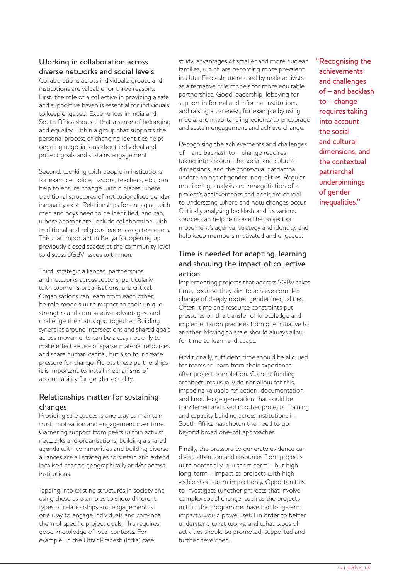## Working in collaboration across diverse networks and social levels

Collaborations across individuals, groups and institutions are valuable for three reasons. First, the role of a collective in providing a safe and supportive haven is essential for individuals to keep engaged. Experiences in India and South Africa showed that a sense of belonging and equality within a group that supports the personal process of changing identities helps ongoing negotiations about individual and project goals and sustains engagement.

Second, working with people in institutions, for example police, pastors, teachers, etc., can help to ensure change within places where traditional structures of institutionalised gender inequality exist. Relationships for engaging with men and boys need to be identified, and can, where appropriate, include collaboration with traditional and religious leaders as gatekeepers. This was important in Kenya for opening up previously closed spaces at the community level to discuss SGBV issues with men.

Third, strategic alliances, partnerships and networks across sectors, particularly with women's organisations, are critical. Organisations can learn from each other, be role models with respect to their unique strengths and comparative advantages, and challenge the status quo together. Building synergies around intersections and shared goals across movements can be a way not only to make effective use of sparse material resources and share human capital, but also to increase pressure for change. Across these partnerships it is important to install mechanisms of accountability for gender equality.

## Relationships matter for sustaining changes

Providing safe spaces is one way to maintain trust, motivation and engagement over time. Garnering support from peers within activist networks and organisations, building a shared agenda with communities and building diverse alliances are all strategies to sustain and extend localised change geographically and/or across institutions.

Tapping into existing structures in society and using these as examples to show different types of relationships and engagement is one way to engage individuals and convince them of specific project goals. This requires good knowledge of local contexts. For example, in the Uttar Pradesh (India) case

study, advantages of smaller and more nuclear families, which are becoming more prevalent in Uttar Pradesh, were used by male activists as alternative role models for more equitable partnerships. Good leadership, lobbying for support in formal and informal institutions, and raising awareness, for example by using media, are important ingredients to encourage and sustain engagement and achieve change.

Recognising the achievements and challenges of – and backlash to – change requires taking into account the social and cultural dimensions, and the contextual patriarchal underpinnings of gender inequalities. Regular monitoring, analysis and renegotiation of a project's achievements and goals are crucial to understand where and how changes occur. Critically analysing backlash and its various sources can help reinforce the project or movement's agenda, strategy and identity, and help keep members motivated and engaged.

## Time is needed for adapting, learning and showing the impact of collective action

Implementing projects that address SGBV takes time, because they aim to achieve complex change of deeply rooted gender inequalities. Often, time and resource constraints put pressures on the transfer of knowledge and implementation practices from one initiative to another. Moving to scale should always allow for time to learn and adapt.

Additionally, sufficient time should be allowed for teams to learn from their experience after project completion. Current funding architectures usually do not allow for this, impeding valuable reflection, documentation and knowledge generation that could be transferred and used in other projects. Training and capacity building across institutions in South Africa has shown the need to go beyond broad one-off approaches.

Finally, the pressure to generate evidence can divert attention and resources from projects with potentially low short-term – but high long-term – impact to projects with high visible short-term impact only. Opportunities to investigate whether projects that involve complex social change, such as the projects within this programme, have had long-term impacts would prove useful in order to better understand what works, and what types of activities should be promoted, supported and further developed.

"Recognising the achievements and challenges of – and backlash to – change requires taking into account the social and cultural dimensions, and the contextual patriarchal underpinnings of gender inequalities."